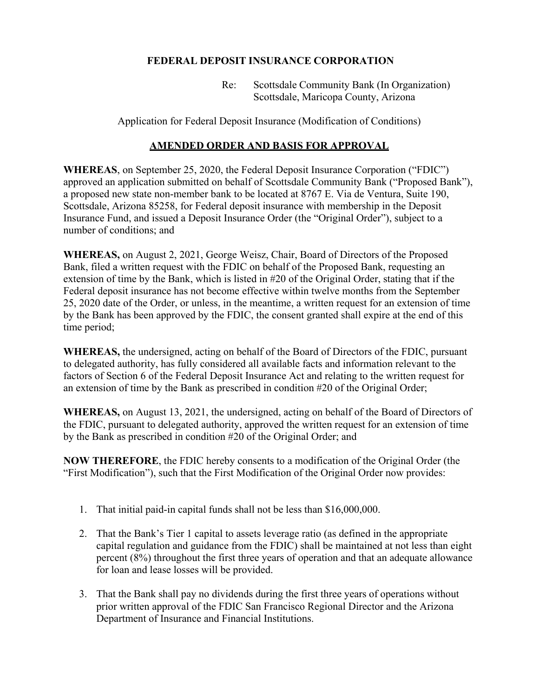## **FEDERAL DEPOSIT INSURANCE CORPORATION**

Re: Scottsdale Community Bank (In Organization) Scottsdale, Maricopa County, Arizona

Application for Federal Deposit Insurance (Modification of Conditions)

## **AMENDED ORDER AND BASIS FOR APPROVAL**

**WHEREAS**, on September 25, 2020, the Federal Deposit Insurance Corporation ("FDIC") approved an application submitted on behalf of Scottsdale Community Bank ("Proposed Bank"), a proposed new state non-member bank to be located at 8767 E. Via de Ventura, Suite 190, Scottsdale, Arizona 85258, for Federal deposit insurance with membership in the Deposit Insurance Fund, and issued a Deposit Insurance Order (the "Original Order"), subject to a number of conditions; and

**WHEREAS,** on August 2, 2021, George Weisz, Chair, Board of Directors of the Proposed Bank, filed a written request with the FDIC on behalf of the Proposed Bank, requesting an extension of time by the Bank, which is listed in #20 of the Original Order, stating that if the Federal deposit insurance has not become effective within twelve months from the September 25, 2020 date of the Order, or unless, in the meantime, a written request for an extension of time by the Bank has been approved by the FDIC, the consent granted shall expire at the end of this time period;

**WHEREAS,** the undersigned, acting on behalf of the Board of Directors of the FDIC, pursuant to delegated authority, has fully considered all available facts and information relevant to the factors of Section 6 of the Federal Deposit Insurance Act and relating to the written request for an extension of time by the Bank as prescribed in condition #20 of the Original Order;

**WHEREAS,** on August 13, 2021, the undersigned, acting on behalf of the Board of Directors of the FDIC, pursuant to delegated authority, approved the written request for an extension of time by the Bank as prescribed in condition #20 of the Original Order; and

**NOW THEREFORE**, the FDIC hereby consents to a modification of the Original Order (the "First Modification"), such that the First Modification of the Original Order now provides:

- 1. That initial paid-in capital funds shall not be less than \$16,000,000.
- 2. That the Bank's Tier 1 capital to assets leverage ratio (as defined in the appropriate capital regulation and guidance from the FDIC) shall be maintained at not less than eight percent (8%) throughout the first three years of operation and that an adequate allowance for loan and lease losses will be provided.
- 3. That the Bank shall pay no dividends during the first three years of operations without prior written approval of the FDIC San Francisco Regional Director and the Arizona Department of Insurance and Financial Institutions.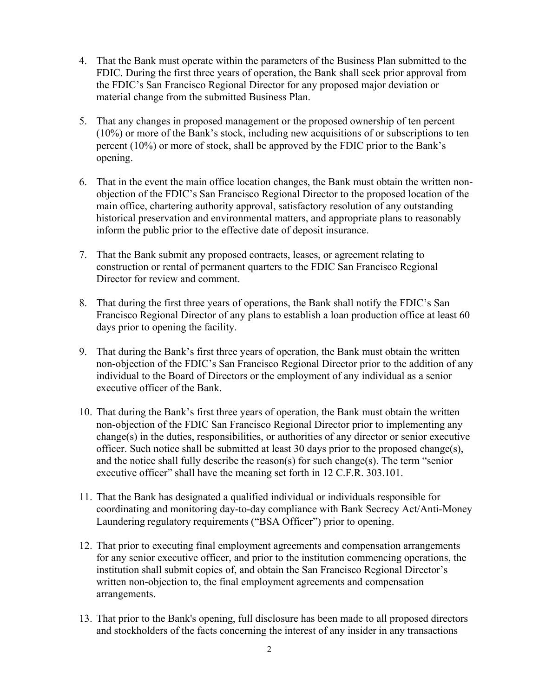- 4. That the Bank must operate within the parameters of the Business Plan submitted to the FDIC. During the first three years of operation, the Bank shall seek prior approval from the FDIC's San Francisco Regional Director for any proposed major deviation or material change from the submitted Business Plan.
- 5. That any changes in proposed management or the proposed ownership of ten percent (10%) or more of the Bank's stock, including new acquisitions of or subscriptions to ten percent (10%) or more of stock, shall be approved by the FDIC prior to the Bank's opening.
- 6. That in the event the main office location changes, the Bank must obtain the written nonobjection of the FDIC's San Francisco Regional Director to the proposed location of the main office, chartering authority approval, satisfactory resolution of any outstanding historical preservation and environmental matters, and appropriate plans to reasonably inform the public prior to the effective date of deposit insurance.
- 7. That the Bank submit any proposed contracts, leases, or agreement relating to construction or rental of permanent quarters to the FDIC San Francisco Regional Director for review and comment.
- 8. That during the first three years of operations, the Bank shall notify the FDIC's San Francisco Regional Director of any plans to establish a loan production office at least 60 days prior to opening the facility.
- 9. That during the Bank's first three years of operation, the Bank must obtain the written non-objection of the FDIC's San Francisco Regional Director prior to the addition of any individual to the Board of Directors or the employment of any individual as a senior executive officer of the Bank.
- 10. That during the Bank's first three years of operation, the Bank must obtain the written non-objection of the FDIC San Francisco Regional Director prior to implementing any change(s) in the duties, responsibilities, or authorities of any director or senior executive officer. Such notice shall be submitted at least 30 days prior to the proposed change(s), and the notice shall fully describe the reason(s) for such change(s). The term "senior executive officer" shall have the meaning set forth in 12 C.F.R. 303.101.
- 11. That the Bank has designated a qualified individual or individuals responsible for coordinating and monitoring day-to-day compliance with Bank Secrecy Act/Anti-Money Laundering regulatory requirements ("BSA Officer") prior to opening.
- 12. That prior to executing final employment agreements and compensation arrangements for any senior executive officer, and prior to the institution commencing operations, the institution shall submit copies of, and obtain the San Francisco Regional Director's written non-objection to, the final employment agreements and compensation arrangements.
- 13. That prior to the Bank's opening, full disclosure has been made to all proposed directors and stockholders of the facts concerning the interest of any insider in any transactions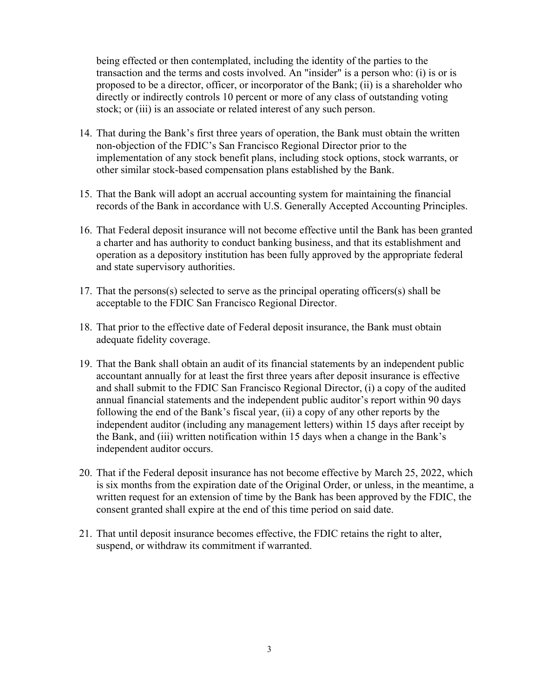being effected or then contemplated, including the identity of the parties to the transaction and the terms and costs involved. An "insider" is a person who: (i) is or is proposed to be a director, officer, or incorporator of the Bank; (ii) is a shareholder who directly or indirectly controls 10 percent or more of any class of outstanding voting stock; or (iii) is an associate or related interest of any such person.

- 14. That during the Bank's first three years of operation, the Bank must obtain the written non-objection of the FDIC's San Francisco Regional Director prior to the implementation of any stock benefit plans, including stock options, stock warrants, or other similar stock-based compensation plans established by the Bank.
- 15. That the Bank will adopt an accrual accounting system for maintaining the financial records of the Bank in accordance with U.S. Generally Accepted Accounting Principles.
- 16. That Federal deposit insurance will not become effective until the Bank has been granted a charter and has authority to conduct banking business, and that its establishment and operation as a depository institution has been fully approved by the appropriate federal and state supervisory authorities.
- 17. That the persons(s) selected to serve as the principal operating officers(s) shall be acceptable to the FDIC San Francisco Regional Director.
- 18. That prior to the effective date of Federal deposit insurance, the Bank must obtain adequate fidelity coverage.
- 19. That the Bank shall obtain an audit of its financial statements by an independent public accountant annually for at least the first three years after deposit insurance is effective and shall submit to the FDIC San Francisco Regional Director, (i) a copy of the audited annual financial statements and the independent public auditor's report within 90 days following the end of the Bank's fiscal year, (ii) a copy of any other reports by the independent auditor (including any management letters) within 15 days after receipt by the Bank, and (iii) written notification within 15 days when a change in the Bank's independent auditor occurs.
- 20. That if the Federal deposit insurance has not become effective by March 25, 2022, which is six months from the expiration date of the Original Order, or unless, in the meantime, a written request for an extension of time by the Bank has been approved by the FDIC, the consent granted shall expire at the end of this time period on said date.
- 21. That until deposit insurance becomes effective, the FDIC retains the right to alter, suspend, or withdraw its commitment if warranted.